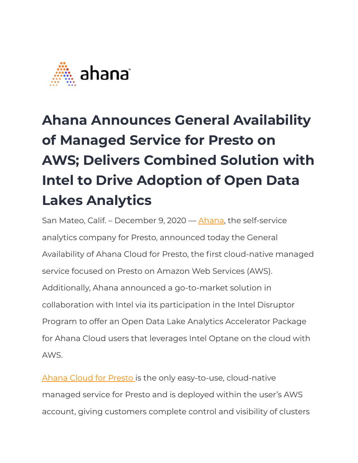

## **Ahana Announces General Availability of Managed Service for Presto on AWS; Delivers Combined Solution with Intel to Drive Adoption of Open Data Lakes Analytics**

San Mateo, Calif. – December 9, 2020 — [Ahana](http://www.ahana.io/), the self-service analytics company for Presto, announced today the General Availability of Ahana Cloud for Presto, the first cloud-native managed service focused on Presto on Amazon Web Services (AWS). Additionally, Ahana announced a go-to-market solution in collaboration with Intel via its participation in the Intel Disruptor Program to offer an Open Data Lake Analytics Accelerator Package for Ahana Cloud users that leverages Intel Optane on the cloud with AWS.

[Ahana Cloud for Presto](https://ahana.io/ahana-cloud/) is the only easy-to-use, cloud-native managed service for Presto and is deployed within the user's AWS account, giving customers complete control and visibility of clusters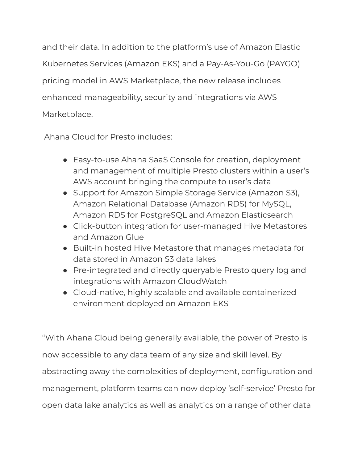and their data. In addition to the platform's use of Amazon Elastic Kubernetes Services (Amazon EKS) and a Pay-As-You-Go (PAYGO) pricing model in AWS Marketplace, the new release includes enhanced manageability, security and integrations via AWS Marketplace.

Ahana Cloud for Presto includes:

- Easy-to-use Ahana SaaS Console for creation, deployment and management of multiple Presto clusters within a user's AWS account bringing the compute to user's data
- Support for Amazon Simple Storage Service (Amazon S3), Amazon Relational Database (Amazon RDS) for MySQL, Amazon RDS for PostgreSQL and Amazon Elasticsearch
- Click-button integration for user-managed Hive Metastores and Amazon Glue
- Built-in hosted Hive Metastore that manages metadata for data stored in Amazon S3 data lakes
- Pre-integrated and directly queryable Presto query log and integrations with Amazon CloudWatch
- Cloud-native, highly scalable and available containerized environment deployed on Amazon EKS

"With Ahana Cloud being generally available, the power of Presto is now accessible to any data team of any size and skill level. By abstracting away the complexities of deployment, configuration and management, platform teams can now deploy 'self-service' Presto for open data lake analytics as well as analytics on a range of other data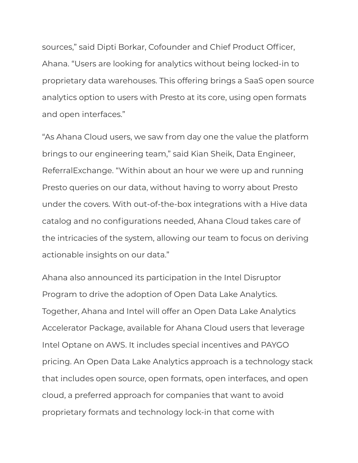sources," said Dipti Borkar, Cofounder and Chief Product Officer, Ahana. "Users are looking for analytics without being locked-in to proprietary data warehouses. This offering brings a SaaS open source analytics option to users with Presto at its core, using open formats and open interfaces."

"As Ahana Cloud users, we saw from day one the value the platform brings to our engineering team," said Kian Sheik, Data Engineer, ReferralExchange. "Within about an hour we were up and running Presto queries on our data, without having to worry about Presto under the covers. With out-of-the-box integrations with a Hive data catalog and no configurations needed, Ahana Cloud takes care of the intricacies of the system, allowing our team to focus on deriving actionable insights on our data."

Ahana also announced its participation in the Intel Disruptor Program to drive the adoption of Open Data Lake Analytics. Together, Ahana and Intel will offer an Open Data Lake Analytics Accelerator Package, available for Ahana Cloud users that leverage Intel Optane on AWS. It includes special incentives and PAYGO pricing. An Open Data Lake Analytics approach is a technology stack that includes open source, open formats, open interfaces, and open cloud, a preferred approach for companies that want to avoid proprietary formats and technology lock-in that come with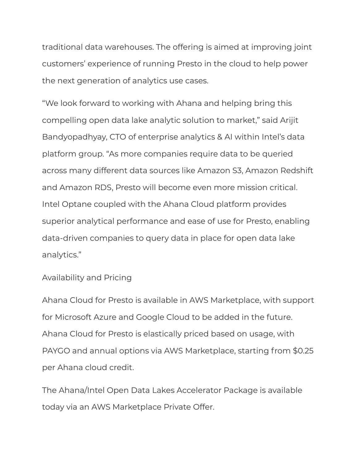traditional data warehouses. The offering is aimed at improving joint customers' experience of running Presto in the cloud to help power the next generation of analytics use cases.

"We look forward to working with Ahana and helping bring this compelling open data lake analytic solution to market," said Arijit Bandyopadhyay, CTO of enterprise analytics & AI within Intel's data platform group. "As more companies require data to be queried across many different data sources like Amazon S3, Amazon Redshift and Amazon RDS, Presto will become even more mission critical. Intel Optane coupled with the Ahana Cloud platform provides superior analytical performance and ease of use for Presto, enabling data-driven companies to query data in place for open data lake analytics."

## Availability and Pricing

Ahana Cloud for Presto is available in AWS Marketplace, with support for Microsoft Azure and Google Cloud to be added in the future. Ahana Cloud for Presto is elastically priced based on usage, with PAYGO and annual options via AWS Marketplace, starting from \$0.25 per Ahana cloud credit.

The Ahana/Intel Open Data Lakes Accelerator Package is available today via an AWS Marketplace Private Offer.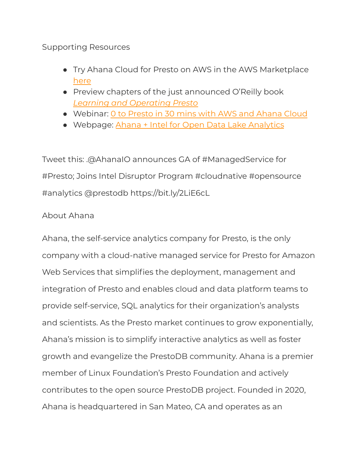## Supporting Resources

- Try Ahana Cloud for Presto on AWS in the AWS Marketplace [here](https://aws.amazon.com/marketplace/seller-profile?id=0ea9f5a4-ef6c-4adf-a191-b63970d83b15)
- Preview chapters of the just announced O'Reilly book *[Learning and Operating Presto](https://ahana.io/ebook/)*
- Webinar: [0 to Presto in 30 mins with AWS and Ahana Cloud](https://ahana.io/events/webinars/0-to-presto-in-30-mins-with-aws-and-ahana-cloud/)
- Webpage: [Ahana + Intel for Open Data Lake Analytics](https://ahana.io/intel/)

Tweet this: .@AhanaIO announces GA of #ManagedService for #Presto; Joins Intel Disruptor Program #cloudnative #opensource #analytics @prestodb https://bit.ly/2LiE6cL

## About Ahana

Ahana, the self-service analytics company for Presto, is the only company with a cloud-native managed service for Presto for Amazon Web Services that simplifies the deployment, management and integration of Presto and enables cloud and data platform teams to provide self-service, SQL analytics for their organization's analysts and scientists. As the Presto market continues to grow exponentially, Ahana's mission is to simplify interactive analytics as well as foster growth and evangelize the PrestoDB community. Ahana is a premier member of Linux Foundation's Presto Foundation and actively contributes to the open source PrestoDB project. Founded in 2020, Ahana is headquartered in San Mateo, CA and operates as an